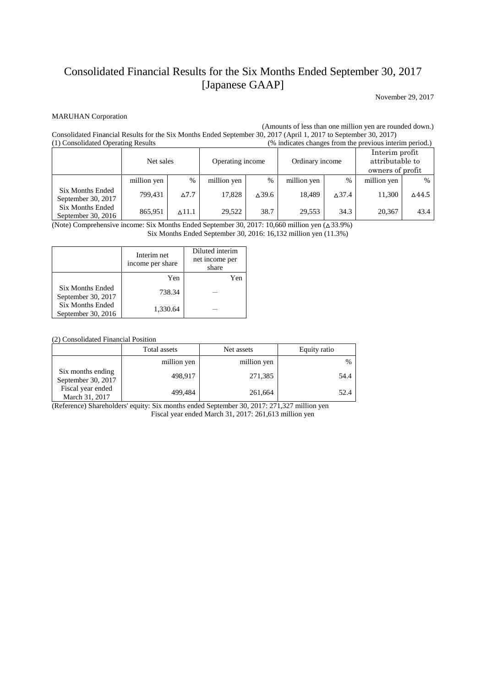## Consolidated Financial Results for the Six Months Ended September 30, 2017 [Japanese GAAP]

November 29, 2017

## MARUHAN Corporation

(Amounts of less than one million yen are rounded down.)

Consolidated Financial Results for the Six Months Ended September 30, 2017 (April 1, 2017 to September 30, 2017) (% indicates changes from the previous interim period.) Net sales Depending income Ordinary income Interim profit attributable to owners of profit million yen % million yen % million yen % million yen % Six Months Ended September 30, 2017 799,431 △7.7 17,828 △39.6 18,489 △37.4 11,300 △44.5 Six Months Ended 865,951 ∆11.1 29,522 38.7 29,553 34.3 20,367 43.4

September 30, 2016 (Note) Comprehensive income: Six Months Ended September 30, 2017: 10,660 million yen (△33.9%)

Six Months Ended September 30, 2016: 16,132 million yen (11.3%)

|                                               | Interim net<br>income per share | Diluted interim<br>net income per<br>share |
|-----------------------------------------------|---------------------------------|--------------------------------------------|
|                                               | Yen                             | Yen                                        |
| <b>Six Months Ended</b><br>September 30, 2017 | 738.34                          |                                            |
| <b>Six Months Ended</b><br>September 30, 2016 | 1,330.64                        |                                            |

(2) Consolidated Financial Position

|                                         | Total assets | Net assets  | Equity ratio |
|-----------------------------------------|--------------|-------------|--------------|
|                                         | million yen  | million yen | $\%$         |
| Six months ending<br>September 30, 2017 | 498.917      | 271,385     | 54.4         |
| Fiscal year ended<br>March 31, 2017     | 499,484      | 261,664     | 52.4         |

(Reference) Shareholders' equity: Six months ended September 30, 2017: 271,327 million yen Fiscal year ended March 31, 2017: 261,613 million yen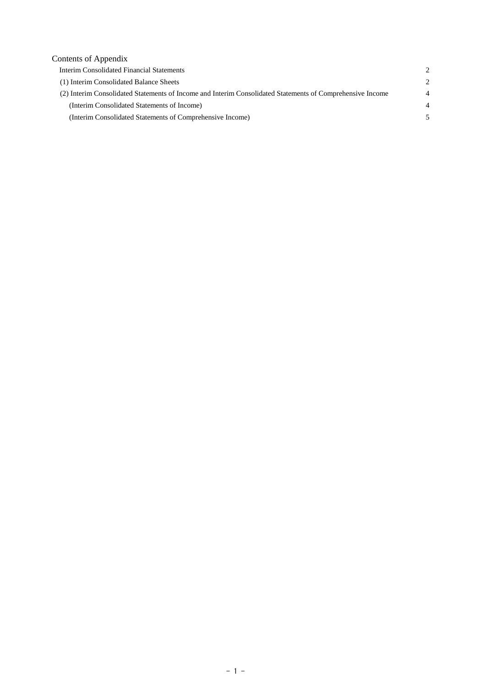| $\mathcal{D}_{\mathcal{A}}$   |
|-------------------------------|
| $\mathfrak{D}_{\mathfrak{p}}$ |
| $\overline{4}$                |
| $\overline{4}$                |
|                               |
|                               |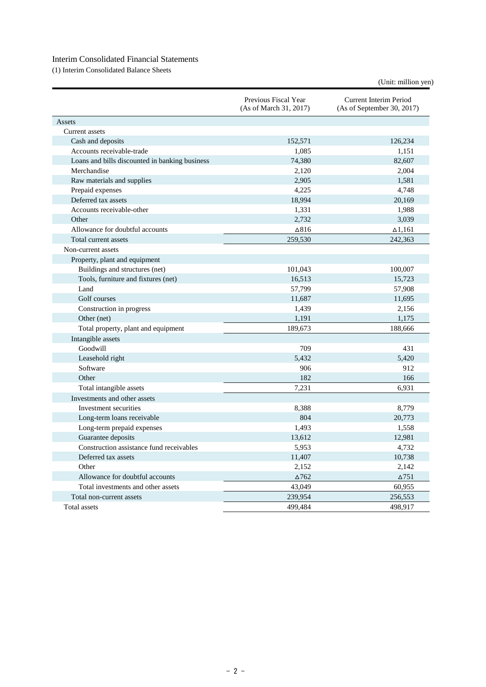## Interim Consolidated Financial Statements

(1) Interim Consolidated Balance Sheets

| (Unit: million yen) |  |  |
|---------------------|--|--|
|                     |  |  |
|                     |  |  |

|                                                | Previous Fiscal Year<br>(As of March 31, 2017) | Current Interim Period<br>(As of September 30, 2017) |
|------------------------------------------------|------------------------------------------------|------------------------------------------------------|
| Assets                                         |                                                |                                                      |
| Current assets                                 |                                                |                                                      |
| Cash and deposits                              | 152,571                                        | 126,234                                              |
| Accounts receivable-trade                      | 1,085                                          | 1,151                                                |
| Loans and bills discounted in banking business | 74,380                                         | 82,607                                               |
| Merchandise                                    | 2,120                                          | 2,004                                                |
| Raw materials and supplies                     | 2,905                                          | 1,581                                                |
| Prepaid expenses                               | 4,225                                          | 4,748                                                |
| Deferred tax assets                            | 18,994                                         | 20,169                                               |
| Accounts receivable-other                      | 1,331                                          | 1,988                                                |
| Other                                          | 2,732                                          | 3,039                                                |
| Allowance for doubtful accounts                | ∆816                                           | $\Delta$ 1,161                                       |
| Total current assets                           | 259,530                                        | 242,363                                              |
| Non-current assets                             |                                                |                                                      |
| Property, plant and equipment                  |                                                |                                                      |
| Buildings and structures (net)                 | 101,043                                        | 100,007                                              |
| Tools, furniture and fixtures (net)            | 16,513                                         | 15,723                                               |
| Land                                           | 57,799                                         | 57,908                                               |
| Golf courses                                   | 11,687                                         | 11,695                                               |
| Construction in progress                       | 1,439                                          | 2,156                                                |
| Other (net)                                    | 1,191                                          | 1,175                                                |
| Total property, plant and equipment            | 189.673                                        | 188.666                                              |
| Intangible assets                              |                                                |                                                      |
| Goodwill                                       | 709                                            | 431                                                  |
| Leasehold right                                | 5,432                                          | 5,420                                                |
| Software                                       | 906                                            | 912                                                  |
| Other                                          | 182                                            | 166                                                  |
| Total intangible assets                        | 7,231                                          | 6,931                                                |
| Investments and other assets                   |                                                |                                                      |
| Investment securities                          | 8,388                                          | 8,779                                                |
| Long-term loans receivable                     | 804                                            | 20,773                                               |
| Long-term prepaid expenses                     | 1,493                                          | 1,558                                                |
| Guarantee deposits                             | 13,612                                         | 12,981                                               |
| Construction assistance fund receivables       | 5,953                                          | 4,732                                                |
| Deferred tax assets                            | 11,407                                         | 10,738                                               |
| Other                                          | 2,152                                          | 2,142                                                |
| Allowance for doubtful accounts                | $\Delta 762$                                   | $\Delta$ 751                                         |
| Total investments and other assets             | 43.049                                         | 60,955                                               |
| Total non-current assets                       | 239,954                                        | 256,553                                              |
| Total assets                                   | 499,484                                        | 498,917                                              |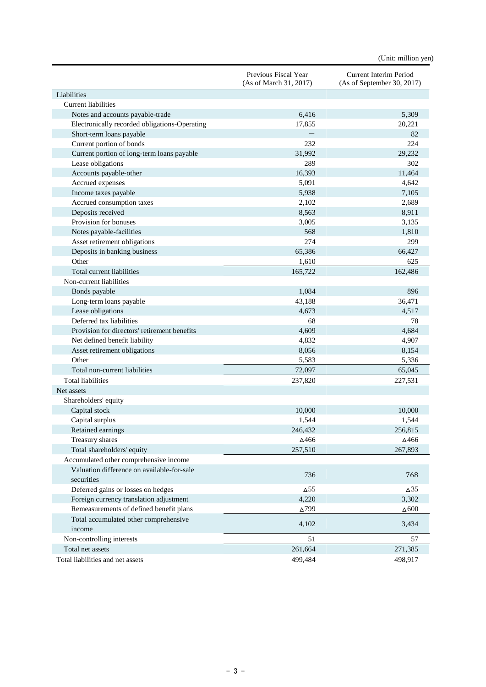| Liabilities<br><b>Current liabilities</b><br>6,416<br>Notes and accounts payable-trade<br>5,309<br>17,855<br>Electronically recorded obligations-Operating<br>20,221<br>Short-term loans payable<br>82<br>232<br>224<br>Current portion of bonds<br>29,232<br>31,992<br>Current portion of long-term loans payable<br>Lease obligations<br>289<br>302<br>Accounts payable-other<br>16,393<br>11,464<br>Accrued expenses<br>5,091<br>4,642<br>Income taxes payable<br>5,938<br>7,105<br>Accrued consumption taxes<br>2,102<br>2,689<br>Deposits received<br>8,563<br>8,911<br>Provision for bonuses<br>3,005<br>3,135<br>Notes payable-facilities<br>568<br>1,810<br>274<br>299<br>Asset retirement obligations<br>Deposits in banking business<br>65,386<br>66,427<br>Other<br>1,610<br>625<br>Total current liabilities<br>165,722<br>162,486<br>Non-current liabilities<br>1,084<br>896<br>Bonds payable<br>Long-term loans payable<br>43,188<br>36,471<br>4,673<br>4,517<br>Lease obligations<br>Deferred tax liabilities<br>68<br>78<br>4,609<br>Provision for directors' retirement benefits<br>4,684<br>Net defined benefit liability<br>4,832<br>4,907<br>8,056<br>8,154<br>Asset retirement obligations<br>Other<br>5,583<br>5,336<br>Total non-current liabilities<br>72,097<br>65,045<br><b>Total liabilities</b><br>237,820<br>227,531<br>Net assets<br>Shareholders' equity<br>10.000<br>10,000<br>Capital stock<br>1,544<br>1,544<br>Capital surplus<br>Retained earnings<br>246,432<br>256,815<br>Treasury shares<br>∆466<br>∆466<br>Total shareholders' equity<br>257,510<br>267,893<br>Accumulated other comprehensive income<br>Valuation difference on available-for-sale<br>736<br>768<br>securities<br>Deferred gains or losses on hedges<br>$\Delta$ 55<br>$\Delta$ 35<br>3,302<br>Foreign currency translation adjustment<br>4,220<br>Remeasurements of defined benefit plans<br>$\Delta 799$<br>$\Delta 600$<br>Total accumulated other comprehensive<br>4,102<br>3,434<br>income<br>Non-controlling interests<br>51<br>57<br>Total net assets<br>261,664<br>271,385 |                                  | Previous Fiscal Year<br>(As of March 31, 2017) | Current Interim Period<br>(As of September 30, 2017) |
|---------------------------------------------------------------------------------------------------------------------------------------------------------------------------------------------------------------------------------------------------------------------------------------------------------------------------------------------------------------------------------------------------------------------------------------------------------------------------------------------------------------------------------------------------------------------------------------------------------------------------------------------------------------------------------------------------------------------------------------------------------------------------------------------------------------------------------------------------------------------------------------------------------------------------------------------------------------------------------------------------------------------------------------------------------------------------------------------------------------------------------------------------------------------------------------------------------------------------------------------------------------------------------------------------------------------------------------------------------------------------------------------------------------------------------------------------------------------------------------------------------------------------------------------------------------------------------------------------------------------------------------------------------------------------------------------------------------------------------------------------------------------------------------------------------------------------------------------------------------------------------------------------------------------------------------------------------------------------------------------------------------------------------------------------------------------------------------------|----------------------------------|------------------------------------------------|------------------------------------------------------|
|                                                                                                                                                                                                                                                                                                                                                                                                                                                                                                                                                                                                                                                                                                                                                                                                                                                                                                                                                                                                                                                                                                                                                                                                                                                                                                                                                                                                                                                                                                                                                                                                                                                                                                                                                                                                                                                                                                                                                                                                                                                                                             |                                  |                                                |                                                      |
|                                                                                                                                                                                                                                                                                                                                                                                                                                                                                                                                                                                                                                                                                                                                                                                                                                                                                                                                                                                                                                                                                                                                                                                                                                                                                                                                                                                                                                                                                                                                                                                                                                                                                                                                                                                                                                                                                                                                                                                                                                                                                             |                                  |                                                |                                                      |
|                                                                                                                                                                                                                                                                                                                                                                                                                                                                                                                                                                                                                                                                                                                                                                                                                                                                                                                                                                                                                                                                                                                                                                                                                                                                                                                                                                                                                                                                                                                                                                                                                                                                                                                                                                                                                                                                                                                                                                                                                                                                                             |                                  |                                                |                                                      |
|                                                                                                                                                                                                                                                                                                                                                                                                                                                                                                                                                                                                                                                                                                                                                                                                                                                                                                                                                                                                                                                                                                                                                                                                                                                                                                                                                                                                                                                                                                                                                                                                                                                                                                                                                                                                                                                                                                                                                                                                                                                                                             |                                  |                                                |                                                      |
|                                                                                                                                                                                                                                                                                                                                                                                                                                                                                                                                                                                                                                                                                                                                                                                                                                                                                                                                                                                                                                                                                                                                                                                                                                                                                                                                                                                                                                                                                                                                                                                                                                                                                                                                                                                                                                                                                                                                                                                                                                                                                             |                                  |                                                |                                                      |
|                                                                                                                                                                                                                                                                                                                                                                                                                                                                                                                                                                                                                                                                                                                                                                                                                                                                                                                                                                                                                                                                                                                                                                                                                                                                                                                                                                                                                                                                                                                                                                                                                                                                                                                                                                                                                                                                                                                                                                                                                                                                                             |                                  |                                                |                                                      |
|                                                                                                                                                                                                                                                                                                                                                                                                                                                                                                                                                                                                                                                                                                                                                                                                                                                                                                                                                                                                                                                                                                                                                                                                                                                                                                                                                                                                                                                                                                                                                                                                                                                                                                                                                                                                                                                                                                                                                                                                                                                                                             |                                  |                                                |                                                      |
|                                                                                                                                                                                                                                                                                                                                                                                                                                                                                                                                                                                                                                                                                                                                                                                                                                                                                                                                                                                                                                                                                                                                                                                                                                                                                                                                                                                                                                                                                                                                                                                                                                                                                                                                                                                                                                                                                                                                                                                                                                                                                             |                                  |                                                |                                                      |
|                                                                                                                                                                                                                                                                                                                                                                                                                                                                                                                                                                                                                                                                                                                                                                                                                                                                                                                                                                                                                                                                                                                                                                                                                                                                                                                                                                                                                                                                                                                                                                                                                                                                                                                                                                                                                                                                                                                                                                                                                                                                                             |                                  |                                                |                                                      |
|                                                                                                                                                                                                                                                                                                                                                                                                                                                                                                                                                                                                                                                                                                                                                                                                                                                                                                                                                                                                                                                                                                                                                                                                                                                                                                                                                                                                                                                                                                                                                                                                                                                                                                                                                                                                                                                                                                                                                                                                                                                                                             |                                  |                                                |                                                      |
|                                                                                                                                                                                                                                                                                                                                                                                                                                                                                                                                                                                                                                                                                                                                                                                                                                                                                                                                                                                                                                                                                                                                                                                                                                                                                                                                                                                                                                                                                                                                                                                                                                                                                                                                                                                                                                                                                                                                                                                                                                                                                             |                                  |                                                |                                                      |
|                                                                                                                                                                                                                                                                                                                                                                                                                                                                                                                                                                                                                                                                                                                                                                                                                                                                                                                                                                                                                                                                                                                                                                                                                                                                                                                                                                                                                                                                                                                                                                                                                                                                                                                                                                                                                                                                                                                                                                                                                                                                                             |                                  |                                                |                                                      |
|                                                                                                                                                                                                                                                                                                                                                                                                                                                                                                                                                                                                                                                                                                                                                                                                                                                                                                                                                                                                                                                                                                                                                                                                                                                                                                                                                                                                                                                                                                                                                                                                                                                                                                                                                                                                                                                                                                                                                                                                                                                                                             |                                  |                                                |                                                      |
|                                                                                                                                                                                                                                                                                                                                                                                                                                                                                                                                                                                                                                                                                                                                                                                                                                                                                                                                                                                                                                                                                                                                                                                                                                                                                                                                                                                                                                                                                                                                                                                                                                                                                                                                                                                                                                                                                                                                                                                                                                                                                             |                                  |                                                |                                                      |
|                                                                                                                                                                                                                                                                                                                                                                                                                                                                                                                                                                                                                                                                                                                                                                                                                                                                                                                                                                                                                                                                                                                                                                                                                                                                                                                                                                                                                                                                                                                                                                                                                                                                                                                                                                                                                                                                                                                                                                                                                                                                                             |                                  |                                                |                                                      |
|                                                                                                                                                                                                                                                                                                                                                                                                                                                                                                                                                                                                                                                                                                                                                                                                                                                                                                                                                                                                                                                                                                                                                                                                                                                                                                                                                                                                                                                                                                                                                                                                                                                                                                                                                                                                                                                                                                                                                                                                                                                                                             |                                  |                                                |                                                      |
|                                                                                                                                                                                                                                                                                                                                                                                                                                                                                                                                                                                                                                                                                                                                                                                                                                                                                                                                                                                                                                                                                                                                                                                                                                                                                                                                                                                                                                                                                                                                                                                                                                                                                                                                                                                                                                                                                                                                                                                                                                                                                             |                                  |                                                |                                                      |
|                                                                                                                                                                                                                                                                                                                                                                                                                                                                                                                                                                                                                                                                                                                                                                                                                                                                                                                                                                                                                                                                                                                                                                                                                                                                                                                                                                                                                                                                                                                                                                                                                                                                                                                                                                                                                                                                                                                                                                                                                                                                                             |                                  |                                                |                                                      |
|                                                                                                                                                                                                                                                                                                                                                                                                                                                                                                                                                                                                                                                                                                                                                                                                                                                                                                                                                                                                                                                                                                                                                                                                                                                                                                                                                                                                                                                                                                                                                                                                                                                                                                                                                                                                                                                                                                                                                                                                                                                                                             |                                  |                                                |                                                      |
|                                                                                                                                                                                                                                                                                                                                                                                                                                                                                                                                                                                                                                                                                                                                                                                                                                                                                                                                                                                                                                                                                                                                                                                                                                                                                                                                                                                                                                                                                                                                                                                                                                                                                                                                                                                                                                                                                                                                                                                                                                                                                             |                                  |                                                |                                                      |
|                                                                                                                                                                                                                                                                                                                                                                                                                                                                                                                                                                                                                                                                                                                                                                                                                                                                                                                                                                                                                                                                                                                                                                                                                                                                                                                                                                                                                                                                                                                                                                                                                                                                                                                                                                                                                                                                                                                                                                                                                                                                                             |                                  |                                                |                                                      |
|                                                                                                                                                                                                                                                                                                                                                                                                                                                                                                                                                                                                                                                                                                                                                                                                                                                                                                                                                                                                                                                                                                                                                                                                                                                                                                                                                                                                                                                                                                                                                                                                                                                                                                                                                                                                                                                                                                                                                                                                                                                                                             |                                  |                                                |                                                      |
|                                                                                                                                                                                                                                                                                                                                                                                                                                                                                                                                                                                                                                                                                                                                                                                                                                                                                                                                                                                                                                                                                                                                                                                                                                                                                                                                                                                                                                                                                                                                                                                                                                                                                                                                                                                                                                                                                                                                                                                                                                                                                             |                                  |                                                |                                                      |
|                                                                                                                                                                                                                                                                                                                                                                                                                                                                                                                                                                                                                                                                                                                                                                                                                                                                                                                                                                                                                                                                                                                                                                                                                                                                                                                                                                                                                                                                                                                                                                                                                                                                                                                                                                                                                                                                                                                                                                                                                                                                                             |                                  |                                                |                                                      |
|                                                                                                                                                                                                                                                                                                                                                                                                                                                                                                                                                                                                                                                                                                                                                                                                                                                                                                                                                                                                                                                                                                                                                                                                                                                                                                                                                                                                                                                                                                                                                                                                                                                                                                                                                                                                                                                                                                                                                                                                                                                                                             |                                  |                                                |                                                      |
|                                                                                                                                                                                                                                                                                                                                                                                                                                                                                                                                                                                                                                                                                                                                                                                                                                                                                                                                                                                                                                                                                                                                                                                                                                                                                                                                                                                                                                                                                                                                                                                                                                                                                                                                                                                                                                                                                                                                                                                                                                                                                             |                                  |                                                |                                                      |
|                                                                                                                                                                                                                                                                                                                                                                                                                                                                                                                                                                                                                                                                                                                                                                                                                                                                                                                                                                                                                                                                                                                                                                                                                                                                                                                                                                                                                                                                                                                                                                                                                                                                                                                                                                                                                                                                                                                                                                                                                                                                                             |                                  |                                                |                                                      |
|                                                                                                                                                                                                                                                                                                                                                                                                                                                                                                                                                                                                                                                                                                                                                                                                                                                                                                                                                                                                                                                                                                                                                                                                                                                                                                                                                                                                                                                                                                                                                                                                                                                                                                                                                                                                                                                                                                                                                                                                                                                                                             |                                  |                                                |                                                      |
|                                                                                                                                                                                                                                                                                                                                                                                                                                                                                                                                                                                                                                                                                                                                                                                                                                                                                                                                                                                                                                                                                                                                                                                                                                                                                                                                                                                                                                                                                                                                                                                                                                                                                                                                                                                                                                                                                                                                                                                                                                                                                             |                                  |                                                |                                                      |
|                                                                                                                                                                                                                                                                                                                                                                                                                                                                                                                                                                                                                                                                                                                                                                                                                                                                                                                                                                                                                                                                                                                                                                                                                                                                                                                                                                                                                                                                                                                                                                                                                                                                                                                                                                                                                                                                                                                                                                                                                                                                                             |                                  |                                                |                                                      |
|                                                                                                                                                                                                                                                                                                                                                                                                                                                                                                                                                                                                                                                                                                                                                                                                                                                                                                                                                                                                                                                                                                                                                                                                                                                                                                                                                                                                                                                                                                                                                                                                                                                                                                                                                                                                                                                                                                                                                                                                                                                                                             |                                  |                                                |                                                      |
|                                                                                                                                                                                                                                                                                                                                                                                                                                                                                                                                                                                                                                                                                                                                                                                                                                                                                                                                                                                                                                                                                                                                                                                                                                                                                                                                                                                                                                                                                                                                                                                                                                                                                                                                                                                                                                                                                                                                                                                                                                                                                             |                                  |                                                |                                                      |
|                                                                                                                                                                                                                                                                                                                                                                                                                                                                                                                                                                                                                                                                                                                                                                                                                                                                                                                                                                                                                                                                                                                                                                                                                                                                                                                                                                                                                                                                                                                                                                                                                                                                                                                                                                                                                                                                                                                                                                                                                                                                                             |                                  |                                                |                                                      |
|                                                                                                                                                                                                                                                                                                                                                                                                                                                                                                                                                                                                                                                                                                                                                                                                                                                                                                                                                                                                                                                                                                                                                                                                                                                                                                                                                                                                                                                                                                                                                                                                                                                                                                                                                                                                                                                                                                                                                                                                                                                                                             |                                  |                                                |                                                      |
|                                                                                                                                                                                                                                                                                                                                                                                                                                                                                                                                                                                                                                                                                                                                                                                                                                                                                                                                                                                                                                                                                                                                                                                                                                                                                                                                                                                                                                                                                                                                                                                                                                                                                                                                                                                                                                                                                                                                                                                                                                                                                             |                                  |                                                |                                                      |
|                                                                                                                                                                                                                                                                                                                                                                                                                                                                                                                                                                                                                                                                                                                                                                                                                                                                                                                                                                                                                                                                                                                                                                                                                                                                                                                                                                                                                                                                                                                                                                                                                                                                                                                                                                                                                                                                                                                                                                                                                                                                                             |                                  |                                                |                                                      |
|                                                                                                                                                                                                                                                                                                                                                                                                                                                                                                                                                                                                                                                                                                                                                                                                                                                                                                                                                                                                                                                                                                                                                                                                                                                                                                                                                                                                                                                                                                                                                                                                                                                                                                                                                                                                                                                                                                                                                                                                                                                                                             |                                  |                                                |                                                      |
|                                                                                                                                                                                                                                                                                                                                                                                                                                                                                                                                                                                                                                                                                                                                                                                                                                                                                                                                                                                                                                                                                                                                                                                                                                                                                                                                                                                                                                                                                                                                                                                                                                                                                                                                                                                                                                                                                                                                                                                                                                                                                             |                                  |                                                |                                                      |
|                                                                                                                                                                                                                                                                                                                                                                                                                                                                                                                                                                                                                                                                                                                                                                                                                                                                                                                                                                                                                                                                                                                                                                                                                                                                                                                                                                                                                                                                                                                                                                                                                                                                                                                                                                                                                                                                                                                                                                                                                                                                                             |                                  |                                                |                                                      |
|                                                                                                                                                                                                                                                                                                                                                                                                                                                                                                                                                                                                                                                                                                                                                                                                                                                                                                                                                                                                                                                                                                                                                                                                                                                                                                                                                                                                                                                                                                                                                                                                                                                                                                                                                                                                                                                                                                                                                                                                                                                                                             |                                  |                                                |                                                      |
|                                                                                                                                                                                                                                                                                                                                                                                                                                                                                                                                                                                                                                                                                                                                                                                                                                                                                                                                                                                                                                                                                                                                                                                                                                                                                                                                                                                                                                                                                                                                                                                                                                                                                                                                                                                                                                                                                                                                                                                                                                                                                             |                                  |                                                |                                                      |
|                                                                                                                                                                                                                                                                                                                                                                                                                                                                                                                                                                                                                                                                                                                                                                                                                                                                                                                                                                                                                                                                                                                                                                                                                                                                                                                                                                                                                                                                                                                                                                                                                                                                                                                                                                                                                                                                                                                                                                                                                                                                                             |                                  |                                                |                                                      |
|                                                                                                                                                                                                                                                                                                                                                                                                                                                                                                                                                                                                                                                                                                                                                                                                                                                                                                                                                                                                                                                                                                                                                                                                                                                                                                                                                                                                                                                                                                                                                                                                                                                                                                                                                                                                                                                                                                                                                                                                                                                                                             |                                  |                                                |                                                      |
|                                                                                                                                                                                                                                                                                                                                                                                                                                                                                                                                                                                                                                                                                                                                                                                                                                                                                                                                                                                                                                                                                                                                                                                                                                                                                                                                                                                                                                                                                                                                                                                                                                                                                                                                                                                                                                                                                                                                                                                                                                                                                             |                                  |                                                |                                                      |
|                                                                                                                                                                                                                                                                                                                                                                                                                                                                                                                                                                                                                                                                                                                                                                                                                                                                                                                                                                                                                                                                                                                                                                                                                                                                                                                                                                                                                                                                                                                                                                                                                                                                                                                                                                                                                                                                                                                                                                                                                                                                                             |                                  |                                                |                                                      |
|                                                                                                                                                                                                                                                                                                                                                                                                                                                                                                                                                                                                                                                                                                                                                                                                                                                                                                                                                                                                                                                                                                                                                                                                                                                                                                                                                                                                                                                                                                                                                                                                                                                                                                                                                                                                                                                                                                                                                                                                                                                                                             |                                  |                                                |                                                      |
|                                                                                                                                                                                                                                                                                                                                                                                                                                                                                                                                                                                                                                                                                                                                                                                                                                                                                                                                                                                                                                                                                                                                                                                                                                                                                                                                                                                                                                                                                                                                                                                                                                                                                                                                                                                                                                                                                                                                                                                                                                                                                             | Total liabilities and net assets | 499,484                                        | 498,917                                              |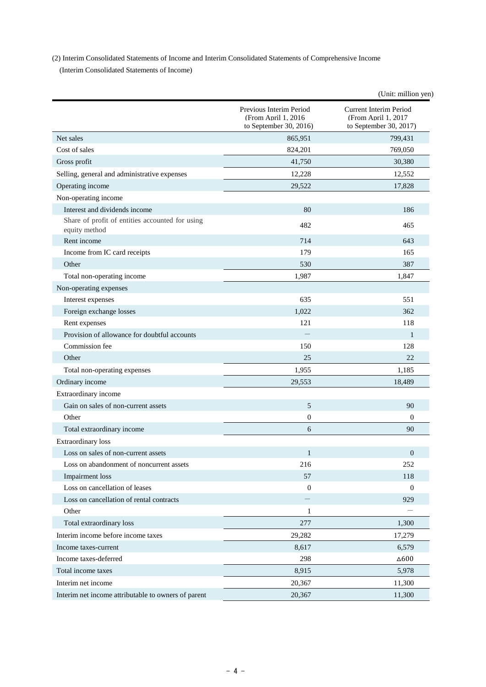(2) Interim Consolidated Statements of Income and Interim Consolidated Statements of Comprehensive Income

(Interim Consolidated Statements of Income)

|                                                                  |                                                                           | (Unit: million yen)                                                            |
|------------------------------------------------------------------|---------------------------------------------------------------------------|--------------------------------------------------------------------------------|
|                                                                  | Previous Interim Period<br>(From April 1, 2016)<br>to September 30, 2016) | <b>Current Interim Period</b><br>(From April 1. 2017<br>to September 30, 2017) |
| Net sales                                                        | 865,951                                                                   | 799,431                                                                        |
| Cost of sales                                                    | 824,201                                                                   | 769,050                                                                        |
| Gross profit                                                     | 41,750                                                                    | 30,380                                                                         |
| Selling, general and administrative expenses                     | 12,228                                                                    | 12,552                                                                         |
| Operating income                                                 | 29,522                                                                    | 17,828                                                                         |
| Non-operating income                                             |                                                                           |                                                                                |
| Interest and dividends income                                    | 80                                                                        | 186                                                                            |
| Share of profit of entities accounted for using<br>equity method | 482                                                                       | 465                                                                            |
| Rent income                                                      | 714                                                                       | 643                                                                            |
| Income from IC card receipts                                     | 179                                                                       | 165                                                                            |
| Other                                                            | 530                                                                       | 387                                                                            |
| Total non-operating income                                       | 1,987                                                                     | 1,847                                                                          |
| Non-operating expenses                                           |                                                                           |                                                                                |
| Interest expenses                                                | 635                                                                       | 551                                                                            |
| Foreign exchange losses                                          | 1,022                                                                     | 362                                                                            |
| Rent expenses                                                    | 121                                                                       | 118                                                                            |
| Provision of allowance for doubtful accounts                     |                                                                           | 1                                                                              |
| Commission fee                                                   | 150                                                                       | 128                                                                            |
| Other                                                            | 25                                                                        | 22                                                                             |
| Total non-operating expenses                                     | 1,955                                                                     | 1,185                                                                          |
| Ordinary income                                                  | 29,553                                                                    | 18,489                                                                         |
| Extraordinary income                                             |                                                                           |                                                                                |
| Gain on sales of non-current assets                              | 5                                                                         | 90                                                                             |
| Other                                                            | $\mathbf{0}$                                                              | $\theta$                                                                       |
| Total extraordinary income                                       | 6                                                                         | 90                                                                             |
| <b>Extraordinary</b> loss                                        |                                                                           |                                                                                |
| Loss on sales of non-current assets                              | $\mathbf{1}$                                                              | $\mathbf{0}$                                                                   |
| Loss on abandonment of noncurrent assets                         | 216                                                                       | 252                                                                            |
| Impairment loss                                                  | 57                                                                        | 118                                                                            |
| Loss on cancellation of leases                                   | $\mathbf{0}$                                                              | $\theta$                                                                       |
| Loss on cancellation of rental contracts                         |                                                                           | 929                                                                            |
| Other                                                            | $\mathbf{1}$                                                              |                                                                                |
| Total extraordinary loss                                         | 277                                                                       | 1,300                                                                          |
| Interim income before income taxes                               | 29,282                                                                    | 17,279                                                                         |
| Income taxes-current                                             | 8,617                                                                     | 6,579                                                                          |
| Income taxes-deferred                                            | 298                                                                       | $\Delta 600$                                                                   |
| Total income taxes                                               | 8,915                                                                     | 5,978                                                                          |
| Interim net income                                               | 20,367                                                                    | 11,300                                                                         |
| Interim net income attributable to owners of parent              | 20,367                                                                    | 11,300                                                                         |